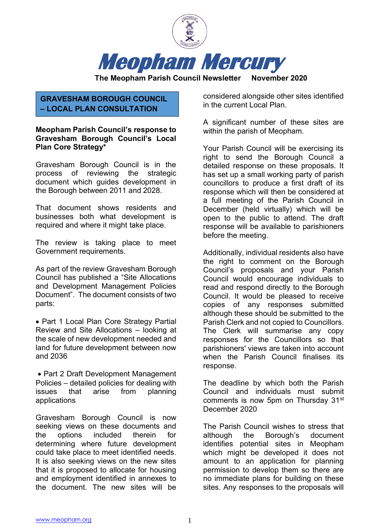

## **GRAVESHAM BOROUGH COUNCIL – LOCAL PLAN CONSULTATION**

### **Meopham Parish Council's response to Gravesham Borough Council's Local Plan Core Strategy\***

Gravesham Borough Council is in the process of reviewing the strategic document which guides development in the Borough between 2011 and 2028.

That document shows residents and businesses both what development is required and where it might take place.

The review is taking place to meet Government requirements.

As part of the review Gravesham Borough Council has published a "Site Allocations and Development Management Policies Document". The document consists of two parts:

• Part 1 Local Plan Core Strategy Partial Review and Site Allocations – looking at the scale of new development needed and land for future development between now and 2036

• Part 2 Draft Development Management Policies – detailed policies for dealing with issues that arise from planning applications

Gravesham Borough Council is now seeking views on these documents and the options included therein for determining where future development could take place to meet identified needs. It is also seeking views on the new sites that it is proposed to allocate for housing and employment identified in annexes to the document. The new sites will be

considered alongside other sites identified in the current Local Plan.

A significant number of these sites are within the parish of Meopham.

Your Parish Council will be exercising its right to send the Borough Council a detailed response on these proposals. It has set up a small working party of parish councillors to produce a first draft of its response which will then be considered at a full meeting of the Parish Council in December (held virtually) which will be open to the public to attend. The draft response will be available to parishioners before the meeting.

Additionally, individual residents also have the right to comment on the Borough Council's proposals and your Parish Council would encourage individuals to read and respond directly to the Borough Council. It would be pleased to receive copies of any responses submitted although these should be submitted to the Parish Clerk and not copied to Councillors. The Clerk will summarise any copy responses for the Councillors so that parishioners' views are taken into account when the Parish Council finalises its response.

The deadline by which both the Parish Council and individuals must submit comments is now 5pm on Thursday 31<sup>st</sup> December 2020

The Parish Council wishes to stress that although the Borough's document identifies potential sites in Meopham which might be developed it does not amount to an application for planning permission to develop them so there are no immediate plans for building on these sites. Any responses to the proposals will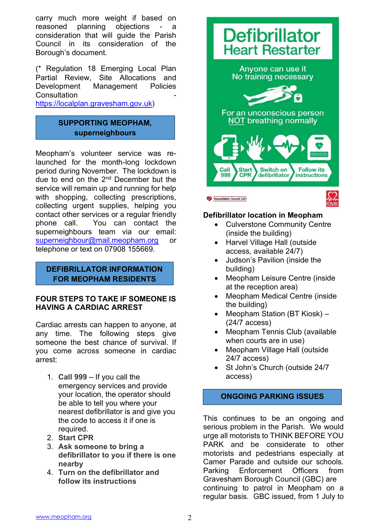carry much more weight if based on reasoned planning objections - a consideration that will guide the Parish Council in its consideration of the Borough's document.

(\* Regulation 18 Emerging Local Plan Partial Review, Site Allocations and Development Management Policies **Consultation** 

[https://localplan.gravesham.gov.uk\)](https://localplan.gravesham.gov.uk/)

## **SUPPORTING MEOPHAM, superneighbours**

Meopham's volunteer service was relaunched for the month-long lockdown period during November. The lockdown is due to end on the 2nd December but the service will remain up and running for help with shopping, collecting prescriptions, collecting urgent supplies, helping you contact other services or a regular friendly phone call. You can contact the superneighbours team via our email: [superneighbour@mail.meopham.org](mailto:superneighbour@mail.meopham.org) or telephone or text on 07908 155669.

### **DEFIBRILLATOR INFORMATION FOR MEOPHAM RESIDENTS**

### **FOUR STEPS TO TAKE IF SOMEONE IS HAVING A CARDIAC ARREST**

Cardiac arrests can happen to anyone, at any time. The following steps give someone the best chance of survival. If you come across someone in cardiac arrest:

- 1. **Call 999 –** If you call the emergency services and provide your location, the operator should be able to tell you where your nearest defibrillator is and give you the code to access it if one is required.
- 2. **Start CPR**
- 3. **Ask someone to bring a defibrillator to you if there is one nearby**
- 4. **Turn on the defibrillator and follow its instructions**



## **Defibrillator location in Meopham**

- Culverstone Community Centre (inside the building)
- Harvel Village Hall (outside access, available 24/7)
- Judson's Pavilion (inside the building)
- Meopham Leisure Centre (inside at the reception area)
- Meopham Medical Centre (inside the building)
- Meopham Station (BT Kiosk) (24/7 access)
- Meopham Tennis Club (available when courts are in use)
- Meopham Village Hall (outside 24/7 access)
- St John's Church (outside 24/7 access)

## **ONGOING PARKING ISSUES**

This continues to be an ongoing and serious problem in the Parish. We would urge all motorists to THINK BEFORE YOU PARK and be considerate to other motorists and pedestrians especially at Camer Parade and outside our schools. Parking Enforcement Officers from Gravesham Borough Council (GBC) are continuing to patrol in Meopham on a regular basis. GBC issued, from 1 July to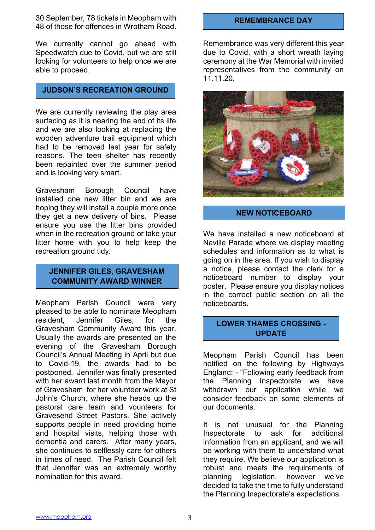30 September, 78 tickets in Meopham with 48 of those for offences in Wrotham Road.

We currently cannot go ahead with Speedwatch due to Covid, but we are still looking for volunteers to help once we are able to proceed.

## **JUDSON'S RECREATION GROUND**

We are currently reviewing the play area surfacing as it is nearing the end of its life and we are also looking at replacing the wooden adventure trail equipment which had to be removed last year for safety reasons. The teen shelter has recently been repainted over the summer period and is looking very smart.

Gravesham Borough Council have installed one new litter bin and we are hoping they will install a couple more once they get a new delivery of bins. Please ensure you use the litter bins provided when in the recreation ground or take your litter home with you to help keep the recreation ground tidy.

### **JENNIFER GILES, GRAVESHAM COMMUNITY AWARD WINNER**

Meopham Parish Council were very pleased to be able to nominate Meopham resident, Jennifer Giles, for the Gravesham Community Award this year. Usually the awards are presented on the evening of the Gravesham Borough Council's Annual Meeting in April but due to Covid-19, the awards had to be postponed. Jennifer was finally presented with her award last month from the Mayor of Gravesham for her volunteer work at St John's Church, where she heads up the pastoral care team and vounteers for Gravesend Street Pastors. She actively supports people in need providing home and hospital visits, helping those with dementia and carers. After many years, she continues to selflessly care for others in times of need. The Parish Council felt that Jennifer was an extremely worthy nomination for this award.

### **REMEMBRANCE DAY**

Remembrance was very different this year due to Covid, with a short wreath laying ceremony at the War Memorial with invited representatives from the community on 11.11.20.



### **NEW NOTICEBOARD**

We have installed a new noticeboard at Neville Parade where we display meeting schedules and information as to what is going on in the area. If you wish to display a notice, please contact the clerk for a noticeboard number to display your poster. Please ensure you display notices in the correct public section on all the noticeboards.

# **LOWER THAMES CROSSING - UPDATE**

Meopham Parish Council has been notified on the following by Highways England: - "Following early feedback from the Planning Inspectorate we have withdrawn our application while we consider feedback on some elements of our documents.

It is not unusual for the Planning Inspectorate to ask for additional information from an applicant, and we will be working with them to understand what they require. We believe our application is robust and meets the requirements of planning legislation, however we've decided to take the time to fully understand the Planning Inspectorate's expectations.